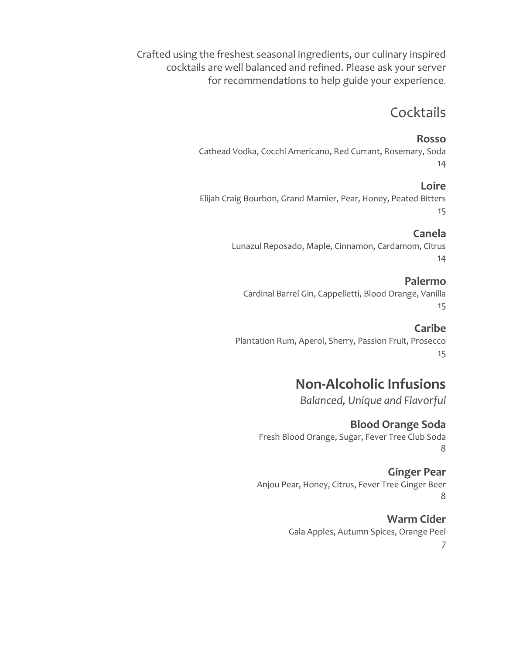Crafted using the freshest seasonal ingredients, our culinary inspired cocktails are well balanced and refined. Please ask your server for recommendations to help guide your experience.

# **Cocktails**

### Rosso

Cathead Vodka, Cocchi Americano, Red Currant, Rosemary, Soda 14

### Loire

Elijah Craig Bourbon, Grand Marnier, Pear, Honey, Peated Bitters 15

### Canela

Lunazul Reposado, Maple, Cinnamon, Cardamom, Citrus 14

### Palermo

Cardinal Barrel Gin, Cappelletti, Blood Orange, Vanilla 15

### Caribe

Plantation Rum, Aperol, Sherry, Passion Fruit, Prosecco 15

# Non-Alcoholic Infusions

Balanced, Unique and Flavorful

### Blood Orange Soda

Fresh Blood Orange, Sugar, Fever Tree Club Soda 8

Ginger Pear Anjou Pear, Honey, Citrus, Fever Tree Ginger Beer 8

### Warm Cider Gala Apples, Autumn Spices, Orange Peel 7